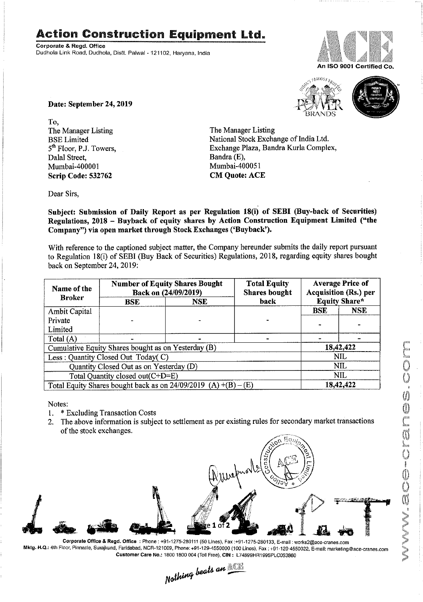## Action Construction Equipment Ltd.

Corporate & Regd. Office Dudhola Link Road, Dudhola, Distt. Palwal - 121102, Haryana, India



An ISO 9001 Certified Co





Date: September 24, 2019

To,<br>The Manager Listing The Manager Listing The Manager Listing<br>BSE Limited National Stock Excha Dala] Street, Bandra (E), Mumbai-400001 Scrip Code: 532762 CM Quote: ACE

BSE Limited National Stock Exchange of India Ltd.<br>
5<sup>th</sup> Floor, P.J. Towers, Exchange Plaza, Bandra Kurla Comple Exchange Plaza, Bandra Kurla Complex, Bandra (E),

Dear Sirs,

Subject: Submission of Daily Report as per Regulation 18(i) of SEBI (Buy-back of Securities) Regulations, 2018 — Buyback of equity shares by Action Construction Equipment Limited ("the Company") via open market through Stock Exchanges ('Buyback').

With reference to the captioned subject matter, the Company hereunder submits the daily report pursuant to Regulation 18(i) of SEBI (Buy Back of Securities) Regulations, 2018, regarding equity shares bought back on September 24, 2019:

| Name of the<br><b>Broker</b>                                      | <b>Number of Equity Shares Bought</b><br>Back on (24/09/2019) |            | <b>Total Equity</b><br><b>Shares bought</b> | <b>Average Price of</b><br>Acquisition (Rs.) per |            |  |
|-------------------------------------------------------------------|---------------------------------------------------------------|------------|---------------------------------------------|--------------------------------------------------|------------|--|
|                                                                   | <b>BSE</b>                                                    | <b>NSE</b> | back                                        | <b>Equity Share*</b>                             |            |  |
| Ambit Capital                                                     |                                                               |            |                                             | <b>BSE</b>                                       | <b>NSE</b> |  |
| Private                                                           |                                                               |            |                                             |                                                  |            |  |
| Limited                                                           |                                                               |            |                                             |                                                  |            |  |
| Total $(A)$                                                       |                                                               |            |                                             |                                                  |            |  |
| Cumulative Equity Shares bought as on Yesterday (B)               |                                                               |            |                                             |                                                  | 18,42,422  |  |
| Less: Quantity Closed Out Today(C)                                |                                                               |            |                                             | NIL.                                             |            |  |
| Quantity Closed Out as on Yesterday (D)                           |                                                               |            |                                             | NIL                                              |            |  |
| Total Quantity closed out(C+D=E)                                  |                                                               |            |                                             | NIL                                              |            |  |
| Total Equity Shares bought back as on $24/09/2019$ (A) +(B) – (E) |                                                               |            |                                             | 18,42,422                                        |            |  |

Notes:

- 1. \* Excluding Transaction Costs
- 2. The above information is subject to settlement as per existing rules for secondary market transactions of the stock exchanges.



Corporate Office & Regd. Office : Phone : +91-1275-280111 (50 Lines), Fax :+91-1275-280133, E-mail : works2@ace-cranes.com Mktg. H.Q.: 4th Floor, Pinnacle, Surajkund, Faridabad, NCR-121009, Phone: +91-129-4550000 (100 Lines), Fax : +91-129-4550022, E-mail: marketing@ace-cranes.com

Customer Care No.: 1800 1800 004 (Toil Free), CIN: L74899HR1995PLC053860<br>
Nathing beats an **Allie**